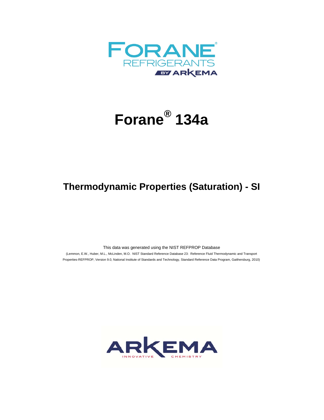

## **Forane® 134a**

## **Thermodynamic Properties (Saturation) - SI**

This data was generated using the NIST REFPROP Database

 (Lemmon, E.W., Huber, M.L., McLinden, M.O. NIST Standard Reference Database 23: Reference Fluid Thermodynamic and Transport Properties-REFPROP, Version 9.0, National Institute of Standards and Technology, Standard Reference Data Program, Gaithersburg, 2010)

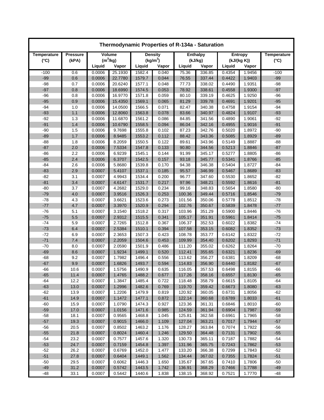| Thermodynamic Properties of R-134a - Saturation |                 |                  |                  |                      |                |                  |                  |                  |                  |                    |
|-------------------------------------------------|-----------------|------------------|------------------|----------------------|----------------|------------------|------------------|------------------|------------------|--------------------|
| Temperature                                     | <b>Pressure</b> | Volume           |                  | <b>Density</b>       |                | <b>Enthalpy</b>  |                  | Entropy          |                  | <b>Temperature</b> |
| $(^{\circ}C)$                                   | (kPA)           | $(m^3/kg)$       |                  | (kg/m <sup>3</sup> ) |                | (kJ/kg)          |                  | (kJ/(kg K))      |                  | $(^{\circ}C)$      |
|                                                 |                 | Liquid           | Vapor            | Liquid               | Vapor          | Liquid           | Vapor            | Liquid           | Vapor            |                    |
| $-100$                                          | 0.6             | 0.0006           | 25.1930          | 1582.4               | 0.040          | 75.36            | 336.85           | 0.4354           | 1.9456           | $-100$             |
| $-99$                                           | 0.6             | 0.0006           | 22.7780          | 1579.7               | 0.044          | 76.55            | 337.44           | 0.4422           | 1.9403           | $-99$              |
| $-98$                                           | 0.7             | 0.0006           | 20.6240          | 1577.1               | 0.048          | 77.73            | 338.02           | 0.4490           | 1.9351           | $-98$              |
| $-97$                                           | 0.8             | 0.0006           | 18.6990          | 1574.5               | 0.053          | 78.92            | 338.61           | 0.4558           | 1.9300           | $-97$              |
| $-96$                                           | 0.8             | 0.0006           | 16.9770          | 1571.8               | 0.059          | 80.10            | 339.19           | 0.4625           | 1.9250           | $-96$              |
| $-95$                                           | 0.9             | 0.0006           | 15.4350          | 1569.1               | 0.065          | 81.29            | 339.78           | 0.4691           | 1.9201           | $-95$              |
| $-94$                                           | 1.0             | 0.0006           | 14.0500          | 1566.5               | 0.071          | 82.47            | 340.38           | 0.4758           | 1.9154           | $-94$              |
| $-93$                                           | 1.1             | 0.0006           | 12.8060          | 1563.8               | 0.078          | 83.66            | 340.97           | 0.4824           | 1.9107           | $-93$              |
| $-92$                                           | 1.3             | 0.0006           | 11.6870          | 1561.2               | 0.086          | 84.85            | 341.56           | 0.4890           | 1.9061           | $-92$              |
| $-91$                                           | 1.4             | 0.0006           | 10.6790          | 1558.5               | 0.094          | 86.04            | 342.16           | 0.4955           | 1.9016           | $-91$<br>$-90$     |
| $-90$<br>$-89$                                  | 1.5<br>1.7      | 0.0006<br>0.0006 | 9.7698<br>8.9485 | 1555.8<br>1553.2     | 0.102<br>0.112 | 87.23<br>88.42   | 342.76<br>343.36 | 0.5020<br>0.5085 | 1.8972<br>1.8929 | $-89$              |
| $-88$                                           | 1.8             | 0.0006           | 8.2059           | 1550.5               | 0.122          | 89.61            | 343.96           | 0.5149           | 1.8887           | $-88$              |
| $-87$                                           | 2.0             | 0.0006           | 7.5334           | 1547.8               | 0.133          | 90.80            | 344.56           | 0.5213           | 1.8846           | $-87$              |
| $-86$                                           | 2.2             | 0.0006           | 6.9239           | 1545.1               | 0.144          | 91.99            | 345.17           | 0.5277           | 1.8805           | $-86$              |
| $-85$                                           | 2.4             | 0.0006           | 6.3707           | 1542.5               | 0.157          | 93.18            | 345.77           | 0.5341           | 1.8766           | $-85$              |
| $-84$                                           | 2.6             | 0.0006           | 5.8680           | 1539.8               | 0.170          | 94.38            | 346.38           | 0.5404           | 1.8727           | $-84$              |
| $-83$                                           | 2.9             | 0.0007           | 5.4107           | 1537.1               | 0.185          | 95.57            | 346.99           | 0.5467           | 1.8689           | $-83$              |
| $-82$                                           | 3.1             | 0.0007           | 4.9943           | 1534.4               | 0.200          | 96.77            | 347.60           | 0.5530           | 1.8652           | $-82$              |
| $-81$                                           | 3.4             | 0.0007           | 4.6147           | 1531.7               | 0.217          | 97.96            | 348.21           | 0.5592           | 1.8616           | $-81$              |
| $-80$                                           | 3.7             | 0.0007           | 4.2682           | 1529.0               | 0.234          | 99.16            | 348.83           | 0.5654           | 1.8580           | $-80$              |
| $-79$                                           | 4.0             | 0.0007           | 3.9516           | 1526.3               | 0.253          | 100.36           | 349.44           | 0.5716           | 1.8546           | $-79$              |
| $-78$                                           | 4.3             | 0.0007           | 3.6621           | 1523.6               | 0.273          | 101.56           | 350.06           | 0.5778           | 1.8512           | -78                |
| $-77$                                           | 4.7             | 0.0007           | 3.3970           | 1520.9               | 0.294          | 102.76           | 350.67           | 0.5839           | 1.8478           | $-77$              |
| $-76$                                           | 5.1             | 0.0007           | 3.1540           | 1518.2               | 0.317          | 103.96           | 351.29           | 0.5900           | 1.8446           | $-76$              |
| $-75$                                           | 5.5             | 0.0007           | 2.9312           | 1515.5               | 0.341          | 105.17           | 351.91           | 0.5961           | 1.8414           | $-75$              |
| $-74$                                           | 5.9             | 0.0007           | 2.7265           | 1512.8               | 0.367          | 106.37           | 352.53           | 0.6022           | 1.8382           | $-74$              |
| $-73$                                           | 6.4             | 0.0007           | 2.5384           | 1510.1               | 0.394          | 107.58           | 353.15           | 0.6082           | 1.8352           | $-73$              |
| $-72$                                           | 6.9             | 0.0007           | 2.3653           | 1507.3               | 0.423          | 108.78           | 353.77           | 0.6142           | 1.8322           | $-72$              |
| $-71$                                           | 7.4             | 0.0007           | 2.2059           | 1504.6               | 0.453          | 109.99           | 354.40           | 0.6202           | 1.8293           | $-71$              |
| $-70$                                           | 8.0             | 0.0007           | 2.0590           | 1501.9               | 0.486          | 111.20           | 355.02           | 0.6262           | 1.8264           | $-70$              |
| $-69$                                           | 8.6             | 0.0007           | 1.9234           | 1499.1               | 0.520          | 112.41           | 355.65           | 0.6321           | 1.8236           | $-69$              |
| $-68$                                           | 9.2             | 0.0007           | 1.7982           | 1496.4               | 0.556          | 113.62           | 356.27           | 0.6381           | 1.8209           | $-68$              |
| $-67$                                           | 9.9             | 0.0007           | 1.6826           | 1493.7               | 0.594          | 114.83           | 356.90           | 0.6440           | 1.8182           | $-67$              |
| $-66$                                           | 10.6            | 0.0007           | 1.5756           | 1490.9<br>1488.2     | 0.635          | 116.05           | 357.53           | 0.6498           | 1.8155           | $-66$              |
| $-65$<br>-64                                    | 11.4<br>12.2    | 0.0007<br>0.0007 | 1.4765<br>1.3847 | 1485.4               | 0.677          | 117.26           | 358.16<br>358.79 | 0.6557<br>0.6615 | 1.8130           | $-65$<br>-64       |
| $-63$                                           | 13.0            | 0.0007           | 1.2996           | 1482.6               | 0.722<br>0.769 | 118.48<br>119.70 | 359.42           | 0.6673           | 1.8105<br>1.8080 | $-63$              |
| $-62$                                           | 13.9            | 0.0007           | 1.2206           | 1479.9               | 0.819          | 120.92           | 360.05           | 0.6731           | 1.8056           | $-62$              |
| $-61$                                           | 14.9            | 0.0007           | 1.1472           | 1477.1               | 0.872          | 122.14           | 360.68           | 0.6789           | 1.8033           | $-61$              |
| $-60$                                           | 15.9            | 0.0007           | 1.0790           | 1474.3               | 0.927          | 123.36           | 361.31           | 0.6846           | 1.8010           | $-60$              |
| $-59$                                           | 17.0            | 0.0007           | 1.0156           | 1471.6               | 0.985          | 124.59           | 361.94           | 0.6904           | 1.7987           | $-59$              |
| $-58$                                           | 18.1            | 0.0007           | 0.9565           | 1468.8               | 1.045          | 125.81           | 362.58           | 0.6961           | 1.7965           | $-58$              |
| $-57$                                           | 19.3            | 0.0007           | 0.9015           | 1466.0               | 1.109          | 127.04           | 363.21           | 0.7017           | 1.7944           | $-57$              |
| $-56$                                           | 20.5            | 0.0007           | 0.8502           | 1463.2               | 1.176          | 128.27           | 363.84           | 0.7074           | 1.7922           | $-56$              |
| $-55$                                           | 21.8            | 0.0007           | 0.8024           | 1460.4               | 1.246          | 129.50           | 364.48           | 0.7131           | 1.7902           | $-55$              |
| $-54$                                           | 23.2            | 0.0007           | 0.7577           | 1457.6               | 1.320          | 130.73           | 365.11           | 0.7187           | 1.7882           | $-54$              |
| $-53$                                           | 24.7            | 0.0007           | 0.7159           | 1454.8               | 1.397          | 131.96           | 365.75           | 0.7243           | 1.7862           | $-53$              |
| $-52$                                           | 26.2            | 0.0007           | 0.6769           | 1452.0               | 1.477          | 133.20           | 366.38           | 0.7299           | 1.7843           | $-52$              |
| $-51$                                           | 27.8            | 0.0007           | 0.6404           | 1449.1               | 1.562          | 134.44           | 367.02           | 0.7355           | 1.7824           | $-51$              |
| $-50$                                           | 29.5            | 0.0007           | 0.6062           | 1446.3               | 1.650          | 135.67           | 367.65           | 0.7410           | 1.7806           | -50                |
| $-49$                                           | 31.2            | 0.0007           | 0.5742           | 1443.5               | 1.742          | 136.91           | 368.29           | 0.7466           | 1.7788           | $-49$              |
| $-48$                                           | 33.1            | 0.0007           | 0.5442           | 1440.6               | 1.838          | 138.15           | 368.92           | 0.7521           | 1.7770           | $-48$              |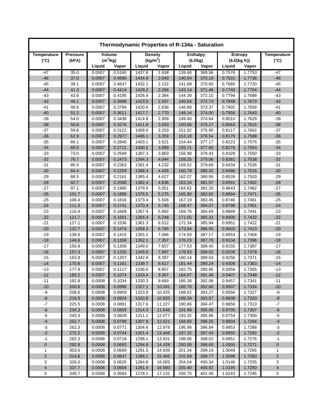| Thermodynamic Properties of R-134a - Saturation |                 |                  |                  |                      |                |                  |                  |                  |                  |                         |
|-------------------------------------------------|-----------------|------------------|------------------|----------------------|----------------|------------------|------------------|------------------|------------------|-------------------------|
| Temperature                                     | <b>Pressure</b> | Volume           |                  | <b>Density</b>       |                | <b>Enthalpy</b>  |                  | Entropy          |                  | <b>Temperature</b>      |
| $(^{\circ}C)$                                   | (kPA)           | $(m^3/kg)$       |                  | (kg/m <sup>3</sup> ) |                | (kJ/kg)          |                  | (kJ/(kg K))      |                  | $(^{\circ}C)$           |
|                                                 |                 | Liquid           | Vapor            | Liquid               | Vapor          | Liquid           | Vapor            | Liquid           | Vapor            |                         |
| $-47$                                           | 35.0            | 0.0007           | 0.5160           | 1437.8               | 1.938          | 139.40           | 369.56           | 0.7576           | 1.7753           | -47                     |
| $-46$                                           | 37.0            | 0.0007           | 0.4896           | 1434.9               | 2.043          | 140.64           | 370.19           | 0.7631           | 1.7736           | $-46$                   |
| $-45$                                           | 39.1            | 0.0007           | 0.4647           | 1432.1               | 2.152          | 141.89           | 370.83           | 0.7685           | 1.7720           | $-45$                   |
| $-44$                                           | 41.3            | 0.0007           | 0.4414           | 1429.2               | 2.266          | 143.14           | 371.46           | 0.7740           | 1.7704           | $-44$                   |
| $-43$                                           | 43.6            | 0.0007           | 0.4195           | 1426.4               | 2.384          | 144.39           | 372.10           | 0.7794           | 1.7688           | $-43$                   |
| $-42$                                           | 46.1            | 0.0007           | 0.3988           | 1423.5               | 2.507          | 145.64           | 372.73           | 0.7848           | 1.7673           | $-42$                   |
| $-41$                                           | 48.6            | 0.0007           | 0.3794           | 1420.6               | 2.636          | 146.89           | 373.37           | 0.7902           | 1.7658           | $-41$                   |
| $-40$                                           | 51.2            | 0.0007           | 0.3611           | 1417.7               | 2.770          | 148.14           | 374.00           | 0.7956           | 1.7643           | $-40$                   |
| $-39$                                           | 54.0            | 0.0007           | 0.3438           | 1414.8               | 2.909          | 149.40           | 374.64           | 0.8010           | 1.7629           | $-39$                   |
| $-38$                                           | 56.8            | 0.0007           | 0.3276           | 1411.9               | 3.053          | 150.66           | 375.27           | 0.8063           | 1.7615           | $-38$                   |
| $-37$                                           | 59.8            | 0.0007           | 0.3122           | 1409.0               | 3.203          | 151.92           | 375.90           | 0.8117           | 1.7602           | $-37$                   |
| $-36$                                           | 62.9            | 0.0007           | 0.2977           | 1406.1               | 3.359          | 153.18           | 376.54           | 0.8170           | 1.7588           | $-36$                   |
| $-35$                                           | 66.1            | 0.0007           | 0.2840           | 1403.1               | 3.521          | 154.44           | 377.17           | 0.8223           | 1.7575           | $-35$                   |
| $-34$                                           | 69.5            | 0.0007           | 0.2711           | 1400.2               | 3.689          | 155.71           | 377.80           | 0.8276           | 1.7563           | $-34$                   |
| $-33$                                           | 73.0            | 0.0007           | 0.2589           | 1397.3               | 3.863          | 156.98           | 378.43           | 0.8329           | 1.7550           | $-33$                   |
| $-32$                                           | 76.7            | 0.0007           | 0.2473           | 1394.3               | 4.044          | 158.25           | 379.06           | 0.8381           | 1.7538           | $-32$                   |
| $-31$                                           | 80.4            | 0.0007           | 0.2363           | 1391.4               | 4.232          | 159.52           | 379.69           | 0.8434           | 1.7526           | $-31$                   |
| $-30$                                           | 84.4            | 0.0007           | 0.2259           | 1388.4               | 4.426          | 160.79           | 380.32           | 0.8486           | 1.7515           | $-30$                   |
| $-29$                                           | 88.5            | 0.0007           | 0.2161           | 1385.4               | 4.627          | 162.07           | 380.95           | 0.8539           | 1.7503           | $-29$                   |
| $-28$                                           | 92.7            | 0.0007           | 0.2068           | 1382.4               | 4.836          | 163.34           | 381.57           | 0.8591           | 1.7492           | $-28$                   |
| $-27$                                           | 97.1            | 0.0007           | 0.1980           | 1379.5               | 5.051          | 164.62           | 382.20           | 0.8643           | 1.7482           | $-27$                   |
| $-26$                                           | 101.7           | 0.0007           | 0.1896           | 1376.5               | 5.275          | 165.90           | 382.82           | 0.8694           | 1.7471           | $-26$                   |
| $-25$                                           | 106.4           | 0.0007           | 0.1816           | 1373.4               | 5.506          | 167.19           | 383.45           | 0.8746           | 1.7461           | $-25$                   |
| $-24$                                           | 111.3           | 0.0007           | 0.1741           | 1370.4               | 5.745          | 168.47           | 384.07           | 0.8798           | 1.7451           | $-24$                   |
| $-23$<br>$-22$                                  | 116.4           | 0.0007<br>0.0007 | 0.1669           | 1367.4               | 5.992          | 169.76           | 384.69           | 0.8849           | 1.7441           | $-23$<br>$-22$          |
| $-21$                                           | 121.7<br>127.1  | 0.0007           | 0.1601<br>0.1536 | 1364.4<br>1361.3     | 6.248<br>6.512 | 171.05<br>172.34 | 385.32<br>385.94 | 0.8900<br>0.8951 | 1.7432<br>1.7422 | $-21$                   |
| $-20$                                           | 132.7           | 0.0007           | 0.1474           | 1358.3               | 6.785          | 173.64           | 386.55           | 0.9003           | 1.7413           | $-20$                   |
| $-19$                                           | 138.6           | 0.0007           | 0.1415           | 1355.2               | 7.066          | 174.93           | 387.17           | 0.9053           | 1.7404           | $-19$                   |
| $-18$                                           | 144.6           | 0.0007           | 0.1359           | 1352.1               | 7.357          | 176.23           | 387.79           | 0.9104           | 1.7396           | $-18$                   |
| $-17$                                           | 150.8           | 0.0007           | 0.1306           | 1349.0               | 7.657          | 177.53           | 388.40           | 0.9155           | 1.7387           | $-17$                   |
| $-16$                                           | 157.3           | 0.0007           | 0.1255           | 1345.9               | 7.967          | 178.83           | 389.02           | 0.9205           | 1.7379           | $-16$                   |
| $-15$                                           | 163.9           | 0.0007           | 0.1207           | 1342.8               | 8.287          | 180.14           | 389.63           | 0.9256           | 1.7371           | $-15$                   |
| $-14$                                           | 170.8           | 0.0007           | 0.1161           | 1339.7               | 8.617          | 181.44           | 390.24           | 0.9306           | 1.7363           | $-14$                   |
| $-13$                                           | 177.9           | 0.0007           | 0.1117           | 1336.6               | 8.957          | 182.75           | 390.85           | 0.9356           | 1.7355           | $-13$                   |
| $-12$                                           | 185.2           | 0.0007           | 0.1074           | 1333.4               | 9.307          | 184.07           | 391.46           | 0.9407           | 1.7348           | $-12$                   |
| $-11$                                           | 192.8           | 0.0008           | 0.1034           | 1330.3               | 9.669          | 185.38           | 392.06           | 0.9457           | 1.7341           | $-11$                   |
| $-10$                                           | 200.6           | 0.0008           | 0.0996           | 1327.1               | 10.041         | 186.70           | 392.66           | 0.9507           | 1.7334           | $-10$                   |
| -9                                              | 208.6           | 0.0008           | 0.0959           | 1323.9               | 10.425         | 188.02           | 393.27           | 0.9556           | 1.7327           | $-9$                    |
| -8                                              | 216.9           | 0.0008           | 0.0924           | 1320.8               | 10.820         | 189.34           | 393.87           | 0.9606           | 1.7320           | $-8$                    |
| $-7$                                            | 225.5           | 0.0008           | 0.0891           | 1317.6               | 11.227         | 190.66           | 394.47           | 0.9656           | 1.7313           | $-7$                    |
| -6                                              | 234.3           | 0.0008           | 0.0859           | 1314.3               | 11.646         | 191.99           | 395.06           | 0.9705           | 1.7307           | $-6$                    |
| $-5$                                            | 243.3           | 0.0008           | 0.0828           | 1311.1               | 12.077         | 193.32           | 395.66           | 0.9754           | 1.7300           | $-5$                    |
| $-4$                                            | 252.7           | 0.0008           | 0.0799           | 1307.9               | 12.521         | 194.65           | 396.25           | 0.9804           | 1.7294           | $-4$                    |
| $-3$                                            | 262.3           | 0.0008           | 0.0771           | 1304.6               | 12.978         | 195.98           | 396.84           | 0.9853           | 1.7288           | $-3$                    |
| $-2$                                            | 272.2           | 0.0008           | 0.0744           | 1301.4               | 13.448         | 197.32           | 397.43           | 0.9902           | 1.7282           | $-2$                    |
| $-1$                                            | 282.3           | 0.0008           | 0.0718           | 1298.1               | 13.931         | 198.66           | 398.02           | 0.9951           | 1.7276           | $-1$                    |
| $\mathbf 0$                                     | 292.8           | 0.0008           | 0.0693           | 1294.8               | 14.428         | 200.00           | 398.60           | 1.0000           | 1.7271           | 0                       |
| 1                                               | 303.6           | 0.0008           | 0.0669           | 1291.5               | 14.939         | 201.34           | 399.19           | 1.0049           | 1.7265           | 1                       |
| $\sqrt{2}$                                      | 314.6           | 0.0008           | 0.0647           | 1288.1               | 15.465         | 202.69           | 399.77           | 1.0098           | 1.7260           | $\overline{\mathbf{c}}$ |
| 3                                               | 326.0           | 0.0008           | 0.0625           | 1284.8               | 16.005         | 204.04           | 400.34           | 1.0146           | 1.7255           | 3                       |
| $\overline{4}$                                  | 337.7           | 0.0008           | 0.0604           | 1281.4               | 16.560         | 205.40           | 400.92           | 1.0195           | 1.7250           | $\overline{\mathbf{r}}$ |
| 5                                               | 349.7           | 0.0008           | 0.0584           | 1278.1               | 17.131         | 206.75           | 401.49           | 1.0243           | 1.7245           | 5                       |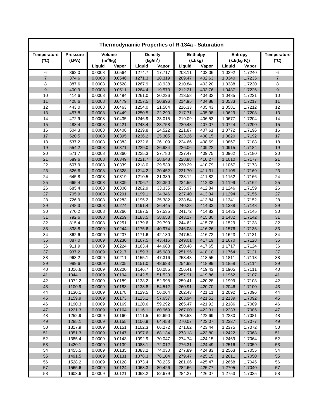| Thermodynamic Properties of R-134a - Saturation |                 |                  |                  |                  |                      |                  |                  |                  |                  |                    |
|-------------------------------------------------|-----------------|------------------|------------------|------------------|----------------------|------------------|------------------|------------------|------------------|--------------------|
| Temperature                                     | <b>Pressure</b> | Volume           |                  | <b>Density</b>   |                      | <b>Enthalpy</b>  |                  | Entropy          |                  | <b>Temperature</b> |
| $(^{\circ}C)$                                   | (kPA)           | $(m^3/kg)$       |                  |                  | (kg/m <sup>3</sup> ) | (kJ/kg)          |                  | (kJ/(kg K))      |                  | $(^{\circ}C)$      |
|                                                 |                 | Liquid           | Vapor            | Liquid           | Vapor                | Liquid           | Vapor            | Liquid           | Vapor            |                    |
| 6                                               | 362.0           | 0.0008           | 0.0564           | 1274.7           | 17.717               | 208.11           | 402.06           | 1.0292           | 1.7240           | 6                  |
| $\overline{7}$                                  | 374.6           | 0.0008           | 0.0546           | 1271.3           | 18.319               | 209.47           | 402.63           | 1.0340           | 1.7235           | $\overline{7}$     |
| 8                                               | 387.6           | 0.0008           | 0.0528           | 1267.9           | 18.938               | 210.84           | 403.20           | 1.0388           | 1.7230           | 8                  |
| 9                                               | 400.9           | 0.0008           | 0.0511           | 1264.4           | 19.573               | 212.21           | 403.76           | 1.0437           | 1.7226           | $\boldsymbol{9}$   |
| 10                                              | 414.6           | 0.0008           | 0.0494           | 1261.0           | 20.226               | 213.58           | 404.32           | 1.0485           | 1.7221           | 10                 |
| 11                                              | 428.6           | 0.0008           | 0.0479           | 1257.5           | 20.896               | 214.95           | 404.88           | 1.0533           | 1.7217           | 11                 |
| 12                                              | 443.0           | 0.0008           | 0.0463           | 1254.0           | 21.584               | 216.33           | 405.43           | 1.0581           | 1.7212           | 12                 |
| 13                                              | 457.8           | 0.0008           | 0.0449           | 1250.5           | 22.290               | 217.71           | 405.98           | 1.0629           | 1.7208           | 13                 |
| 14                                              | 472.9           | 0.0008           | 0.0435           | 1246.9           | 23.015               | 219.09           | 406.53           | 1.0677           | 1.7204           | 14                 |
| 15                                              | 488.4           | 0.0008           | 0.0421           | 1243.4           | 23.758               | 220.48           | 407.07           | 1.0724           | 1.7200           | 15                 |
| 16                                              | 504.3           | 0.0008           | 0.0408           | 1239.8           | 24.522               | 221.87           | 407.61           | 1.0772           | 1.7196           | 16                 |
| 17                                              | 520.5           | 0.0008           | 0.0395           | 1236.2           | 25.305               | 223.26           | 408.15           | 1.0820           | 1.7192           | 17                 |
| 18                                              | 537.2           | 0.0008           | 0.0383           | 1232.6           | 26.109               | 224.66           | 408.69           | 1.0867           | 1.7188           | 18                 |
| 19                                              | 554.2           | 0.0008           | 0.0371           | 1229.0           | 26.934               | 226.06           | 409.22           | 1.0915           | 1.7184           | 19                 |
| 20                                              | 571.7           | 0.0008           | 0.0360           | 1225.3           | 27.780               | 227.47           | 409.75           | 1.0962           | 1.7180           | 20                 |
| 21                                              | 589.6           | 0.0008           | 0.0349           | 1221.7           | 28.648               | 228.88           | 410.27           | 1.1010           | 1.7177           | 21                 |
| 22                                              | 607.9           | 0.0008           | 0.0339           | 1218.0           | 29.539               | 230.29           | 410.79           | 1.1057           | 1.7173           | 22                 |
| 23                                              | 626.6           | 0.0008           | 0.0328           | 1214.2           | 30.452               | 231.70           | 411.31           | 1.1105           | 1.7169           | 23                 |
| 24                                              | 645.8           | 0.0008           | 0.0319           | 1210.5           | 31.389               | 233.12           | 411.82           | 1.1152           | 1.7166           | 24                 |
| 25                                              | 665.4           | 0.0008           | 0.0309           | 1206.7           | 32.350               | 234.55           | 412.33           | 1.1199           | 1.7162           | 25                 |
| 26                                              | 685.4           | 0.0008           | 0.0300           | 1202.9           | 33.335               | 235.97           | 412.84           | 1.1246           | 1.7159           | 26                 |
| 27                                              | 705.9           | 0.0008           | 0.0291           | 1199.1           | 34.346               | 237.40           | 413.34           | 1.1294           | 1.7155           | 27                 |
| 28                                              | 726.9           | 0.0008           | 0.0283           | 1195.2           | 35.382               | 238.84           | 413.84           | 1.1341           | 1.7152           | 28<br>29           |
| 29                                              | 748.3           | 0.0008<br>0.0008 | 0.0274           | 1191.4           | 36.445               | 240.28<br>241.72 | 414.33           | 1.1388           | 1.7148           |                    |
| 30<br>31                                        | 770.2<br>792.6  | 0.0008           | 0.0266<br>0.0259 | 1187.5<br>1183.5 | 37.535<br>38.653     | 243.17           | 414.82<br>415.30 | 1.1435<br>1.1482 | 1.7145<br>1.7142 | 30<br>31           |
| 32                                              | 815.4           | 0.0008           | 0.0251           | 1179.6           | 39.799               | 244.62           | 415.78           | 1.1529           | 1.7138           | 32                 |
| 33                                              | 838.8           | 0.0009           | 0.0244           | 1175.6           | 40.974               | 246.08           | 416.26           | 1.1576           | 1.7135           | 33                 |
| 34                                              | 862.6           | 0.0009           | 0.0237           | 1171.6           | 42.180               | 247.54           | 416.72           | 1.1623           | 1.7131           | 34                 |
| 35                                              | 887.0           | 0.0009           | 0.0230           | 1167.5           | 43.416               | 249.01           | 417.19           | 1.1670           | 1.7128           | 35                 |
| 36                                              | 911.9           | 0.0009           | 0.0224           | 1163.4           | 44.683               | 250.48           | 417.65           | 1.1717           | 1.7124           | 36                 |
| 37                                              | 937.2           | 0.0009           | 0.0217           | 1159.3           | 45.983               | 251.95           | 418.10           | 1.1764           | 1.7121           | 37                 |
| 38                                              | 963.2           | 0.0009           | 0.0211           | 1155.1           | 47.316               | 253.43           | 418.55           | 1.1811           | 1.7118           | 38                 |
| 39                                              | 989.6           | 0.0009           | 0.0205           | 1151.0           | 48.683               | 254.92           | 418.99           | 1.1858           | 1.7114           | 39                 |
| 40                                              | 1016.6          | 0.0009           | 0.0200           | 1146.7           | 50.085               | 256.41           | 419.43           | 1.1905           | 1.7111           | 40                 |
| 41                                              | 1044.1          | 0.0009           | 0.0194           | 1142.5           | 51.523               | 257.91           | 419.86           | 1.1952           | 1.7107           | 41                 |
| 42                                              | 1072.2          | 0.0009           | 0.0189           | 1138.2           | 52.998               | 259.41           | 420.28           | 1.1999           | 1.7103           | 42                 |
| 43                                              | 1100.9          | 0.0009           | 0.0183           | 1133.8           | 54.512               | 260.91           | 420.70           | 1.2046           | 1.7100           | 43                 |
| 44                                              | 1130.1          | 0.0009           | 0.0178           | 1129.5           | 56.064               | 262.43           | 421.11           | 1.2092           | 1.7096           | 44                 |
| 45                                              | 1159.9          | 0.0009           | 0.0173           | 1125.1           | 57.657               | 263.94           | 421.52           | 1.2139           | 1.7092           | 45                 |
| 46                                              | 1190.3          | 0.0009           | 0.0169           | 1120.6           | 59.292               | 265.47           | 421.92           | 1.2186           | 1.7089           | 46                 |
| 47                                              | 1221.3          | 0.0009           | 0.0164           | 1116.1           | 60.969               | 267.00           | 422.31           | 1.2233           | 1.7085           | 47                 |
| 48                                              | 1252.9          | 0.0009           | 0.0160           | 1111.5           | 62.690               | 268.53           | 422.69           | 1.2280           | 1.7081           | 48                 |
| 49                                              | 1285.1          | 0.0009           | 0.0155           | 1106.9           | 64.458               | 270.07           | 423.07           | 1.2327           | 1.7077           | 49                 |
| 50                                              | 1317.9          | 0.0009           | 0.0151           | 1102.3           | 66.272               | 271.62           | 423.44           | 1.2375           | 1.7072           | 50                 |
| 51                                              | 1351.3          | 0.0009           | 0.0147           | 1097.6           | 68.134               | 273.18           | 423.80           | 1.2422           | 1.7068           | 51                 |
| 52                                              | 1385.4          | 0.0009           | 0.0143           | 1092.9           | 70.047               | 274.74           | 424.15           | 1.2469           | 1.7064           | 52                 |
| 53                                              | 1420.1          | 0.0009           | 0.0139           | 1088.1           | 72.012               | 276.31           | 424.49           | 1.2516           | 1.7059           | 53                 |
| 54                                              | 1455.5          | 0.0009           | 0.0135           | 1083.2           | 74.030               | 277.89           | 424.83           | 1.2563           | 1.7055           | 54                 |
| 55                                              | 1491.5          | 0.0009           | 0.0131           | 1078.3           | 76.104               | 279.47           | 425.15           | 1.2611           | 1.7050           | 55                 |
| 56                                              | 1528.2          | 0.0009           | 0.0128           | 1073.4           | 78.235               | 281.06           | 425.47           | 1.2658           | 1.7045           | 56                 |
| 57                                              | 1565.6          | 0.0009           | 0.0124           | 1068.3           | 80.426               | 282.66           | 425.77           | 1.2705           | 1.7040           | 57                 |
| 58                                              | 1603.6          | 0.0009           | 0.0121           | 1063.2           | 82.679               | 284.27           | 426.07           | 1.2753           | 1.7035           | 58                 |